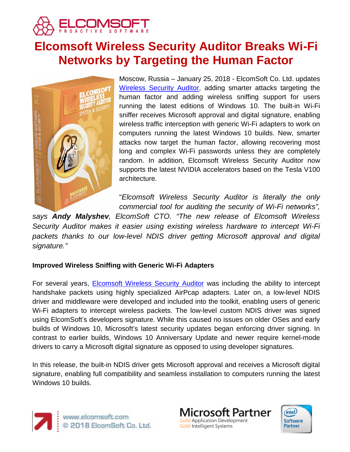

# **Elcomsoft Wireless Security Auditor Breaks Wi-Fi Networks by Targeting the Human Factor**



Moscow, Russia – January 25, 2018 - ElcomSoft Co. Ltd. updates [Wireless Security Auditor,](https://www.elcomsoft.de/ewsa.html) adding smarter attacks targeting the human factor and adding wireless sniffing support for users running the latest editions of Windows 10. The built-in Wi-Fi sniffer receives Microsoft approval and digital signature, enabling wireless traffic interception with generic Wi-Fi adapters to work on computers running the latest Windows 10 builds. New, smarter attacks now target the human factor, allowing recovering most long and complex Wi-Fi passwords unless they are completely random. In addition, Elcomsoft Wireless Security Auditor now supports the latest NVIDIA accelerators based on the Tesla V100 architecture.

"*Elcomsoft Wireless Security Auditor is literally the only commercial tool for auditing the security of Wi-Fi networks",* 

*says Andy Malyshev, ElcomSoft CTO. "The new release of Elcomsoft Wireless Security Auditor makes it easier using existing wireless hardware to intercept Wi-Fi packets thanks to our low-level NDIS driver getting Microsoft approval and digital signature."*

# **Improved Wireless Sniffing with Generic Wi-Fi Adapters**

For several years, [Elcomsoft Wireless Security Auditor](https://www.elcomsoft.de/ewsa.html) was including the ability to intercept handshake packets using highly specialized AirPcap adapters. Later on, a low-level NDIS driver and middleware were developed and included into the toolkit, enabling users of generic Wi-Fi adapters to intercept wireless packets. The low-level custom NDIS driver was signed using ElcomSoft's developers signature. While this caused no issues on older OSes and early builds of Windows 10, Microsoft's latest security updates began enforcing driver signing. In contrast to earlier builds, Windows 10 Anniversary Update and newer require kernel-mode drivers to carry a Microsoft digital signature as opposed to using developer signatures.

In this release, the built-in NDIS driver gets Microsoft approval and receives a Microsoft digital signature, enabling full compatibility and seamless installation to computers running the latest Windows 10 builds.





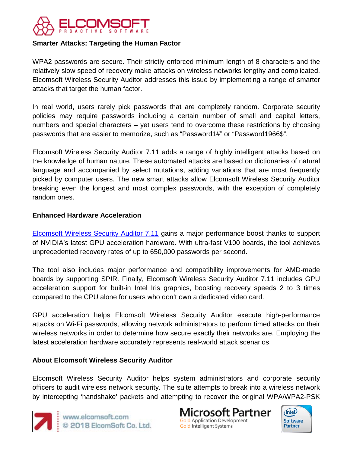

# **Smarter Attacks: Targeting the Human Factor**

WPA2 passwords are secure. Their strictly enforced minimum length of 8 characters and the relatively slow speed of recovery make attacks on wireless networks lengthy and complicated. Elcomsoft Wireless Security Auditor addresses this issue by implementing a range of smarter attacks that target the human factor.

In real world, users rarely pick passwords that are completely random. Corporate security policies may require passwords including a certain number of small and capital letters, numbers and special characters – yet users tend to overcome these restrictions by choosing passwords that are easier to memorize, such as "Password1#" or "Password1966\$".

Elcomsoft Wireless Security Auditor 7.11 adds a range of highly intelligent attacks based on the knowledge of human nature. These automated attacks are based on dictionaries of natural language and accompanied by select mutations, adding variations that are most frequently picked by computer users. The new smart attacks allow Elcomsoft Wireless Security Auditor breaking even the longest and most complex passwords, with the exception of completely random ones.

#### **Enhanced Hardware Acceleration**

[Elcomsoft Wireless Security Auditor 7.11](https://www.elcomsoft.de/ewsa.html) gains a major performance boost thanks to support of NVIDIA's latest GPU acceleration hardware. With ultra-fast V100 boards, the tool achieves unprecedented recovery rates of up to 650,000 passwords per second.

The tool also includes major performance and compatibility improvements for AMD-made boards by supporting SPIR. Finally, Elcomsoft Wireless Security Auditor 7.11 includes GPU acceleration support for built-in Intel Iris graphics, boosting recovery speeds 2 to 3 times compared to the CPU alone for users who don't own a dedicated video card.

GPU acceleration helps Elcomsoft Wireless Security Auditor execute high-performance attacks on Wi-Fi passwords, allowing network administrators to perform timed attacks on their wireless networks in order to determine how secure exactly their networks are. Employing the latest acceleration hardware accurately represents real-world attack scenarios.

### **About Elcomsoft Wireless Security Auditor**

Elcomsoft Wireless Security Auditor helps system administrators and corporate security officers to audit wireless network security. The suite attempts to break into a wireless network by intercepting 'handshake' packets and attempting to recover the original WPA/WPA2-PSK



www.elcomsoft.com<br>© 2018 ElcomSoft Co. Ltd.

licrosoft Partner **Gold Application Development** Gold Intelligent Systems